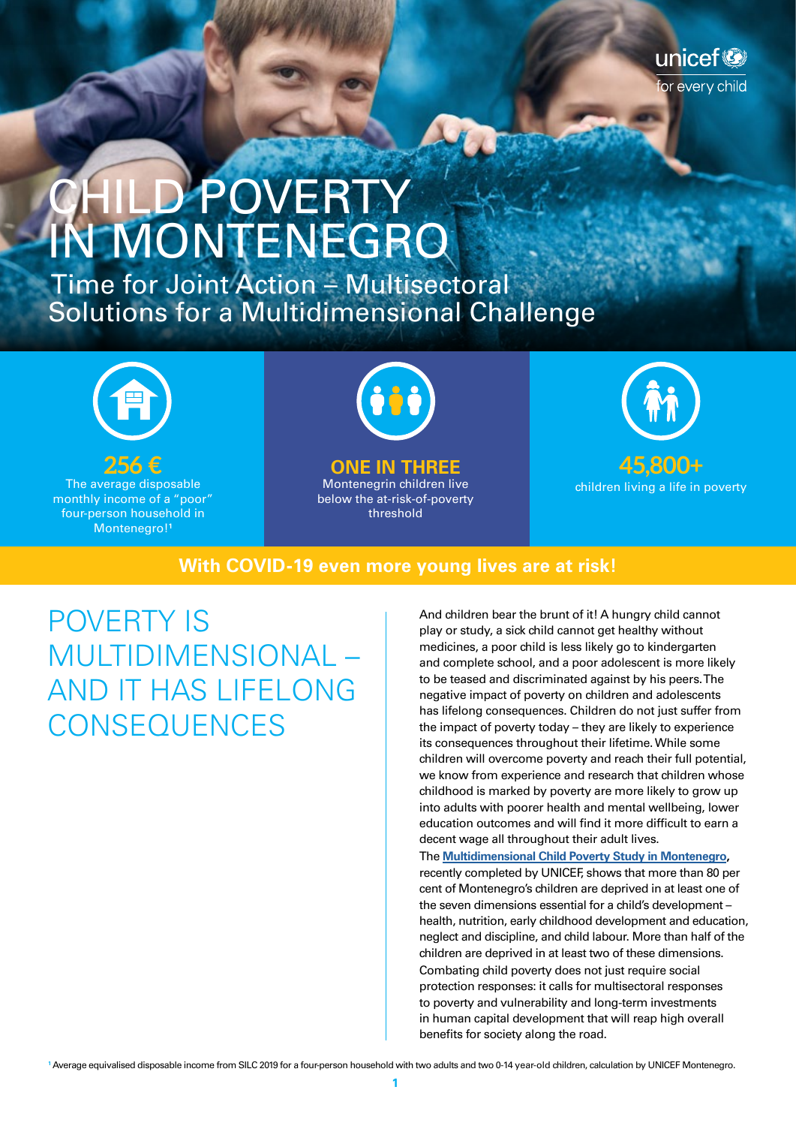# CHILD POVERTY IN MONTENEGRO

 Time for Joint Action – Multisectoral Solutions for a Multidimensional Challenge



**256 €** The average disposable monthly income of a "poor" four-person household in Montenegro!**<sup>1</sup>**



#### **ONE IN THREE**

Montenegrin children live below the at-risk-of-poverty threshold



unicef®

or every child

#### **With COVID-19 even more young lives are at risk!**

POVERTY IS MULTIDIMENSIONAL – AND IT HAS LIFELONG **CONSEQUENCES** 

And children bear the brunt of it! A hungry child cannot play or study, a sick child cannot get healthy without medicines, a poor child is less likely go to kindergarten and complete school, and a poor adolescent is more likely to be teased and discriminated against by his peers. The negative impact of poverty on children and adolescents has lifelong consequences. Children do not just suffer from the impact of poverty today – they are likely to experience its consequences throughout their lifetime. While some children will overcome poverty and reach their full potential, we know from experience and research that children whose childhood is marked by poverty are more likely to grow up into adults with poorer health and mental wellbeing, lower education outcomes and will find it more difficult to earn a decent wage all throughout their adult lives.

The **[Multidimensional Child Poverty Study in Montenegro](https://www.unicef.org/montenegro/en/reports/multidimensional-child-poverty-montenegro),** recently completed by UNICEF, shows that more than 80 per cent of Montenegro's children are deprived in at least one of the seven dimensions essential for a child's development – health, nutrition, early childhood development and education, neglect and discipline, and child labour. More than half of the children are deprived in at least two of these dimensions. Combating child poverty does not just require social protection responses: it calls for multisectoral responses to poverty and vulnerability and long-term investments in human capital development that will reap high overall benefits for society along the road.

**1** Average equivalised disposable income from SILC 2019 for a four-person household with two adults and two 0-14 year-old children, calculation by UNICEF Montenegro.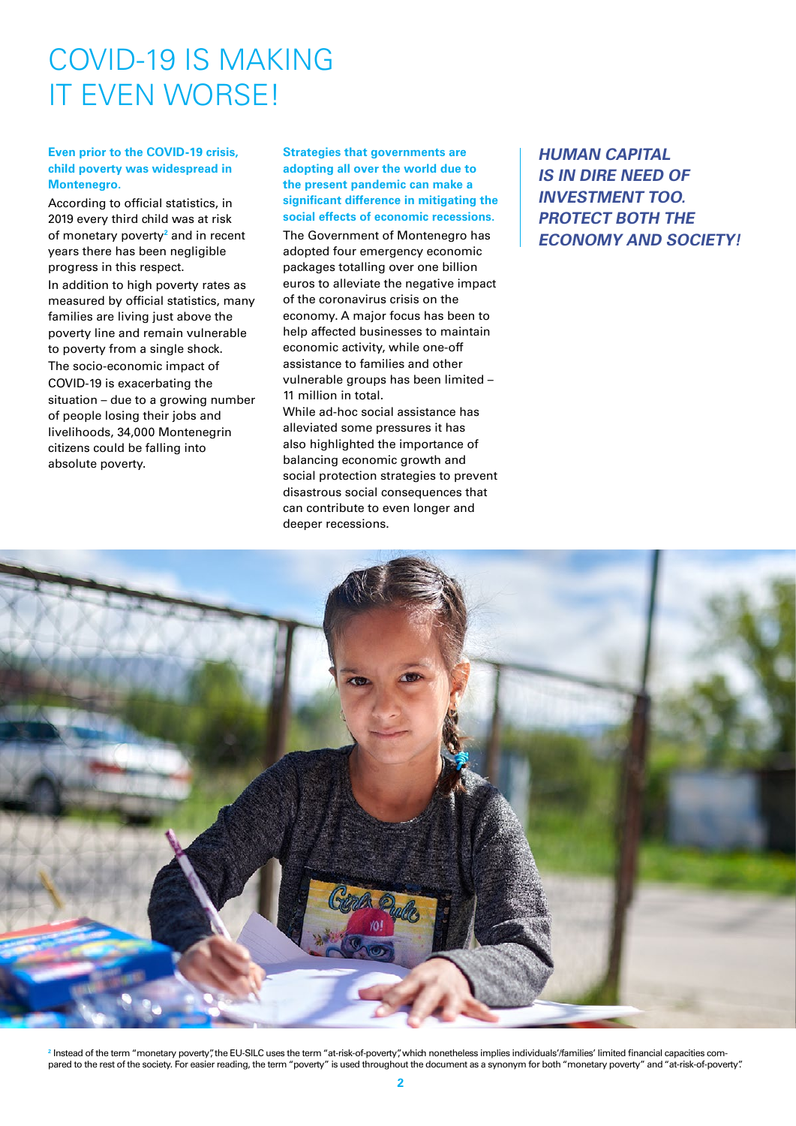### COVID-19 IS MAKING IT EVEN WORSE!

#### **Even prior to the COVID-19 crisis, child poverty was widespread in Montenegro.**

According to official statistics, in 2019 every third child was at risk of monetary poverty**<sup>2</sup>** and in recent years there has been negligible progress in this respect. In addition to high poverty rates as measured by official statistics, many families are living just above the poverty line and remain vulnerable to poverty from a single shock. The socio-economic impact of COVID-19 is exacerbating the situation – due to a growing number of people losing their jobs and livelihoods, 34,000 Montenegrin citizens could be falling into absolute poverty.

#### **Strategies that governments are adopting all over the world due to the present pandemic can make a significant difference in mitigating the social effects of economic recessions.**

The Government of Montenegro has adopted four emergency economic packages totalling over one billion euros to alleviate the negative impact of the coronavirus crisis on the economy. A major focus has been to help affected businesses to maintain economic activity, while one-off assistance to families and other vulnerable groups has been limited – 11 million in total.

While ad-hoc social assistance has alleviated some pressures it has also highlighted the importance of balancing economic growth and social protection strategies to prevent disastrous social consequences that can contribute to even longer and deeper recessions.

**HUMAN CAPITAL IS IN DIRE NEED OF INVESTMENT TOO. PROTECT BOTH THE ECONOMY AND SOCIETY!**



**2** Instead of the term "monetary poverty", the EU-SILC uses the term "at-risk-of-poverty", which nonetheless implies individuals'/families' limited financial capacities compared to the rest of the society. For easier reading, the term "poverty" is used throughout the document as a synonym for both "monetary poverty" and "at-risk-of-poverty".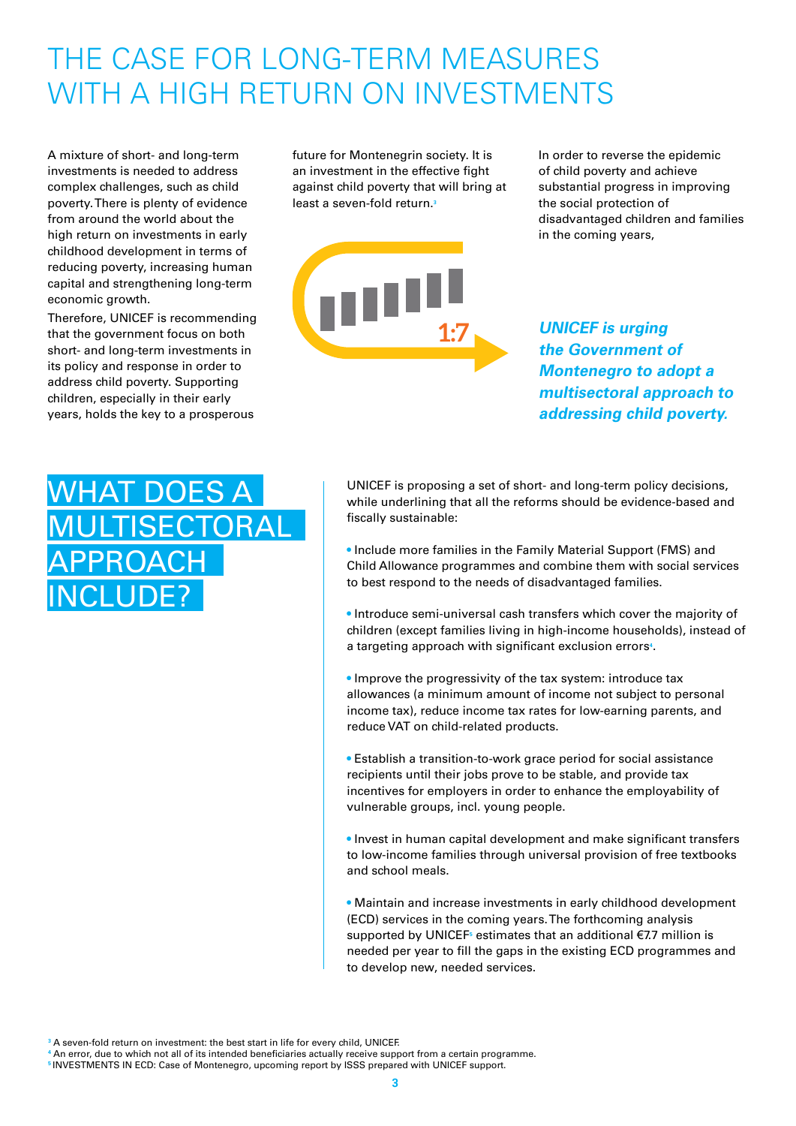## THE CASE FOR LONG-TERM MEASURES WITH A HIGH RETURN ON INVESTMENTS

A mixture of short- and long-term investments is needed to address complex challenges, such as child poverty. There is plenty of evidence from around the world about the high return on investments in early childhood development in terms of reducing poverty, increasing human capital and strengthening long-term economic growth.

Therefore, UNICEF is recommending that the government focus on both short- and long-term investments in its policy and response in order to address child poverty. Supporting children, especially in their early years, holds the key to a prosperous

future for Montenegrin society. It is an investment in the effective fight against child poverty that will bring at least a seven-fold return.**<sup>3</sup>**



In order to reverse the epidemic of child poverty and achieve substantial progress in improving the social protection of disadvantaged children and families in the coming years,

**UNICEF is urging the Government of Montenegro to adopt a multisectoral approach to addressing child poverty.**

### WHAT DOES A **ULTISECTORAL** PPROACH INCLUDE?

UNICEF is proposing a set of short- and long-term policy decisions, while underlining that all the reforms should be evidence-based and fiscally sustainable:

• Include more families in the Family Material Support (FMS) and Child Allowance programmes and combine them with social services to best respond to the needs of disadvantaged families.

• Introduce semi-universal cash transfers which cover the majority of children (except families living in high-income households), instead of a targeting approach with significant exclusion errors**<sup>4</sup>** .

• Improve the progressivity of the tax system: introduce tax allowances (a minimum amount of income not subject to personal income tax), reduce income tax rates for low-earning parents, and reduce VAT on child-related products.

• Establish a transition-to-work grace period for social assistance recipients until their jobs prove to be stable, and provide tax incentives for employers in order to enhance the employability of vulnerable groups, incl. young people.

• Invest in human capital development and make significant transfers to low-income families through universal provision of free textbooks and school meals.

• Maintain and increase investments in early childhood development (ECD) services in the coming years. The forthcoming analysis supported by UNICEF<sup>5</sup> estimates that an additional €7.7 million is needed per year to fill the gaps in the existing ECD programmes and to develop new, needed services.

**3** A seven-fold return on investment: the best start in life for every child, UNICEF.

**4** An error, due to which not all of its intended beneficiaries actually receive support from a certain programme. **<sup>5</sup>**INVESTMENTS IN ECD: Case of Montenegro, upcoming report by ISSS prepared with UNICEF support.